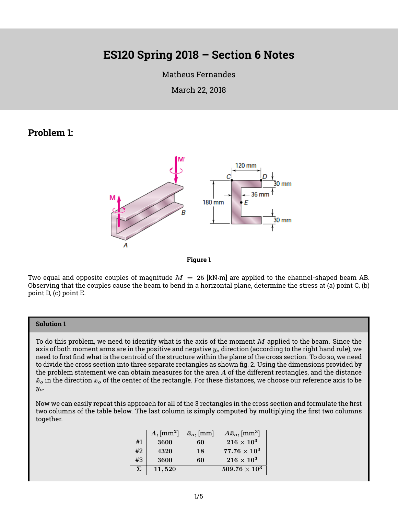# **ES120 Spring 2018 – Section 6 Notes**

#### [Matheus Fernandes](http://fer.me)

March 22, 2018

### **Problem 1:**



**Figure 1**

Two equal and opposite couples of magnitude  $M = 25$  [kN·m] are applied to the channel-shaped beam AB. Observing that the couples cause the beam to bend in a horizontal plane, determine the stress at (a) point C, (b) point D, (c) point E.

#### **Solution 1**

To do this problem, we need to identify what is the axis of the moment  $M$  applied to the beam. Since the axis of both moment arms are in the positive and negative  $y_o$  direction (according to the right hand rule), we need to first find what is the centroid of the structure within the plane of the cross section. To do so, we need to divide the cross section into three separate rectangles as shown [fig. 2.](#page-1-0) Using the dimensions provided by the problem statement we can obtain measures for the area  $A$  of the different rectangles, and the distance  $\hat{x}_o$  in the direction  $x_o$  of the center of the rectangle. For these distances, we choose our reference axis to be  $y_o$ .

Now we can easily repeat this approach for all of the 3 rectangles in the cross section and formulate the first two columns of the table below. The last column is simply computed by multiplying the first two columns together.

|    | $A,$ [mm <sup>2</sup> ] | $\bar{x}_o$ , [mm] | $\langle A\bar{x}_o, \mathrm{[mm^3]} \rangle$ |
|----|-------------------------|--------------------|-----------------------------------------------|
| #1 | 3600                    | 60                 | $216\times10^3$                               |
| #2 | 4320                    | 18                 | $77.76\times10^3$                             |
| #3 | 3600                    | 60                 | $216\times10^3$                               |
| Σ  | 11,520                  |                    | $509.76 \times 10^3$                          |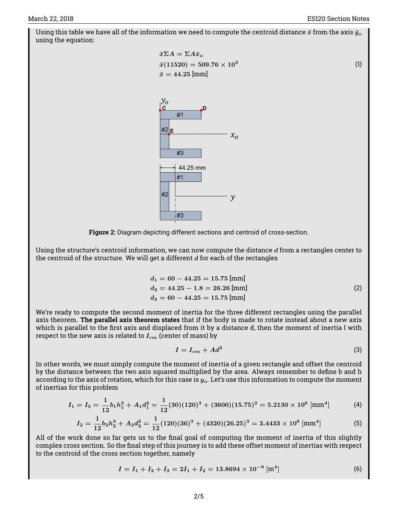(1)

<span id="page-1-0"></span>Using this table we have all of the information we need to compute the centroid distance  $\bar{x}$  from the axis  $\bar{y}_o$ using the equation:





Using the structure's centroid information, we can now compute the distance  $d$  from a rectangles center to the centroid of the structure. We will get a different  $d$  for each of the rectangles

$$
d_1 = 60 - 44.25 = 15.75 \text{ [mm]}
$$
  
\n
$$
d_2 = 44.25 - 1.8 = 26.26 \text{ [mm]}
$$
  
\n
$$
d_3 = 60 - 44.25 = 15.75 \text{ [mm]}
$$
\n(2)

We're ready to compute the second moment of inertia for the three different rectangles using the parallel axis theorem. **The parallel axis theorem states** that if the body is made to rotate instead about a new axis which is parallel to the first axis and displaced from it by a distance d, then the moment of inertia I with respect to the new axis is related to  $I_{cm}$  (center of mass) by

$$
I = I_{cm} + Ad^2 \tag{3}
$$

In other words, we must simply compute the moment of inertia of a given rectangle and offset the centroid by the distance between the two axis squared multiplied by the area. Always remember to define b and h according to the axis of rotation, which for this case is  $y_o$ . Let's use this information to compute the moment of inertias for this problem

$$
I_1 = I_3 = \frac{1}{12}b_1h_1^3 + A_1d_1^2 = \frac{1}{12}(30)(120)^3 + (3600)(15.75)^2 = 5.2130 \times 10^6 \text{ [mm$^4$]}
$$
 (4)

$$
I_2 = \frac{1}{12}b_2h_2^3 + A_2d_2^2 = \frac{1}{12}(120)(36)^3 + (4320)(26.25)^3 = 3.4433 \times 10^6 \text{ [mm$^4$]}
$$
 (5)

All of the work done so far gets us to the final goal of computing the moment of inertia of this slightly complex cross section. So the final step of this journey is to add these offset moment of inertias with respect to the centroid of the cross section together, namely

$$
I = I_1 + I_2 + I_3 = 2I_1 + I_2 = 13.8694 \times 10^{-6} \text{ [m}^4 \text{]}
$$
 (6)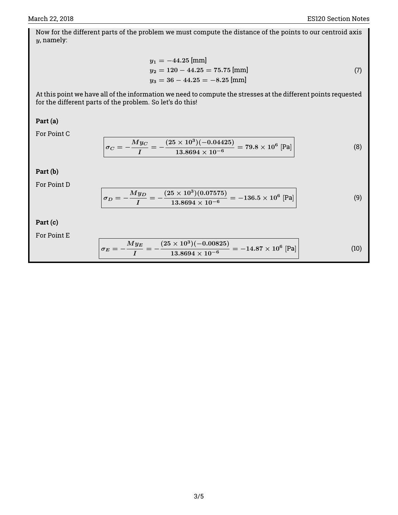Now for the different parts of the problem we must compute the distance of the points to our centroid axis y, namely:

$$
y_1 = -44.25 \text{ [mm]}
$$
  
\n
$$
y_2 = 120 - 44.25 = 75.75 \text{ [mm]}
$$
  
\n
$$
y_3 = 36 - 44.25 = -8.25 \text{ [mm]}
$$
 (7)

At this point we have all of the information we need to compute the stresses at the different points requested for the different parts of the problem. So let's do this!

#### **Part (a)**

For Point C

$$
\sigma_C = -\frac{My_C}{I} = -\frac{(25 \times 10^3)(-0.04425)}{13.8694 \times 10^{-6}} = 79.8 \times 10^6 \text{ [Pa]}
$$
 (8)

#### **Part (b)**

For Point D

$$
\sigma_D = -\frac{My_D}{I} = -\frac{(25 \times 10^3)(0.07575)}{13.8694 \times 10^{-6}} = -136.5 \times 10^6 \text{ [Pa]}
$$
 (9)

### **Part (c)**

For Point E

$$
\sigma_E = -\frac{My_E}{I} = -\frac{(25 \times 10^3)(-0.00825)}{13.8694 \times 10^{-6}} = -14.87 \times 10^6 \text{ [Pa]}
$$
 (10)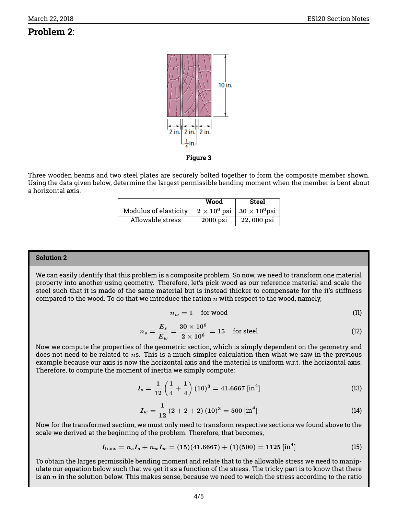## **Problem 2:**



**Figure 3**

Three wooden beams and two steel plates are securely bolted together to form the composite member shown. Using the data given below, determine the largest permissible bending moment when the member is bent about a horizontal axis.

|                              | Wood                                                         | Steel        |
|------------------------------|--------------------------------------------------------------|--------------|
| <b>Modulus of elasticity</b> | $\parallel 2 \times 10^6$ psi $\parallel 30 \times 10^6$ psi |              |
| Allowable stress             | $2000$ psi                                                   | $22,000$ psi |

#### **Solution 2**

We can easily identify that this problem is a composite problem. So now, we need to transform one material property into another using geometry. Therefore, let's pick wood as our reference material and scale the steel such that it is made of the same material but is instead thicker to compensate for the it's stiffness compared to the wood. To do that we introduce the ration  $n$  with respect to the wood, namely,

$$
n_w = 1 \quad \text{for wood} \tag{11}
$$

$$
n_s = \frac{E_s}{E_w} = \frac{30 \times 10^6}{2 \times 10^6} = 15 \quad \text{for steel} \tag{12}
$$

Now we compute the properties of the geometric section, which is simply dependent on the geometry and does not need to be related to  $n$ s. This is a much simpler calculation then what we saw in the previous example because our axis is now the horizontal axis and the material is uniform w.r.t. the horizontal axis. Therefore, to compute the moment of inertia we simply compute:

$$
I_s = \frac{1}{12} \left( \frac{1}{4} + \frac{1}{4} \right) (10)^3 = 41.6667 \left[ \text{in}^4 \right] \tag{13}
$$

$$
I_w = \frac{1}{12} (2 + 2 + 2) (10)^3 = 500 \,[\text{in}^4] \tag{14}
$$

Now for the transformed section, we must only need to transform respective sections we found above to the scale we derived at the beginning of the problem. Therefore, that becomes,

$$
I_{\text{trans}} = n_s I_s + n_w I_w = (15)(41.6667) + (1)(500) = 1125 \,[\text{in}^4] \tag{15}
$$

To obtain the larges permissible bending moment and relate that to the allowable stress we need to manipulate our equation below such that we get it as a function of the stress. The tricky part is to know that there is an  $n$  in the solution below. This makes sense, because we need to weigh the stress according to the ratio